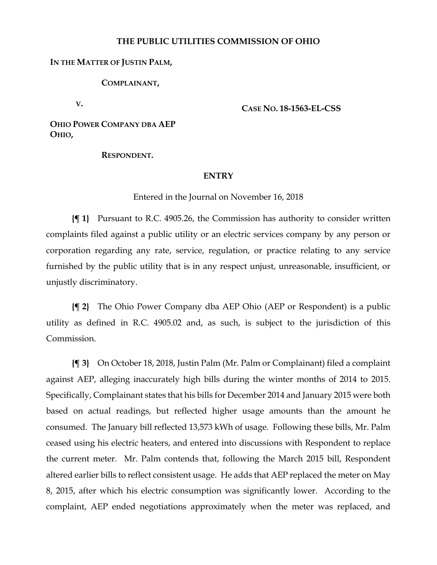## **THE PUBLIC UTILITIES COMMISSION OF OHIO**

## **IN THE MATTER OF JUSTIN PALM,**

**COMPLAINANT,**

**V.**

**CASE NO. 18-1563-EL-CSS**

**OHIO POWER COMPANY DBA AEP OHIO,**

**RESPONDENT.**

## **ENTRY**

Entered in the Journal on November 16, 2018

**{¶ 1}** Pursuant to R.C. 4905.26, the Commission has authority to consider written complaints filed against a public utility or an electric services company by any person or corporation regarding any rate, service, regulation, or practice relating to any service furnished by the public utility that is in any respect unjust, unreasonable, insufficient, or unjustly discriminatory.

**{¶ 2}** The Ohio Power Company dba AEP Ohio (AEP or Respondent) is a public utility as defined in R.C. 4905.02 and, as such, is subject to the jurisdiction of this Commission.

**{¶ 3}** On October 18, 2018, Justin Palm (Mr. Palm or Complainant) filed a complaint against AEP, alleging inaccurately high bills during the winter months of 2014 to 2015. Specifically, Complainant states that his bills for December 2014 and January 2015 were both based on actual readings, but reflected higher usage amounts than the amount he consumed. The January bill reflected 13,573 kWh of usage. Following these bills, Mr. Palm ceased using his electric heaters, and entered into discussions with Respondent to replace the current meter. Mr. Palm contends that, following the March 2015 bill, Respondent altered earlier bills to reflect consistent usage. He adds that AEP replaced the meter on May 8, 2015, after which his electric consumption was significantly lower. According to the complaint, AEP ended negotiations approximately when the meter was replaced, and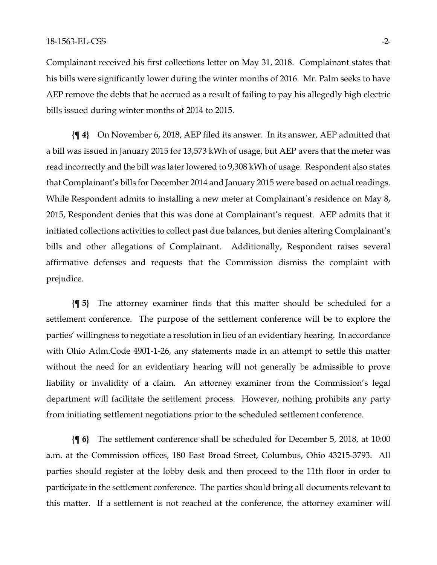Complainant received his first collections letter on May 31, 2018. Complainant states that his bills were significantly lower during the winter months of 2016. Mr. Palm seeks to have AEP remove the debts that he accrued as a result of failing to pay his allegedly high electric bills issued during winter months of 2014 to 2015.

**{¶ 4}** On November 6, 2018, AEP filed its answer. In its answer, AEP admitted that a bill was issued in January 2015 for 13,573 kWh of usage, but AEP avers that the meter was read incorrectly and the bill was later lowered to 9,308 kWh of usage. Respondent also states that Complainant's bills for December 2014 and January 2015 were based on actual readings. While Respondent admits to installing a new meter at Complainant's residence on May 8, 2015, Respondent denies that this was done at Complainant's request. AEP admits that it initiated collections activities to collect past due balances, but denies altering Complainant's bills and other allegations of Complainant. Additionally, Respondent raises several affirmative defenses and requests that the Commission dismiss the complaint with prejudice.

**{¶ 5}** The attorney examiner finds that this matter should be scheduled for a settlement conference. The purpose of the settlement conference will be to explore the parties' willingness to negotiate a resolution in lieu of an evidentiary hearing. In accordance with Ohio Adm.Code 4901-1-26, any statements made in an attempt to settle this matter without the need for an evidentiary hearing will not generally be admissible to prove liability or invalidity of a claim. An attorney examiner from the Commission's legal department will facilitate the settlement process. However, nothing prohibits any party from initiating settlement negotiations prior to the scheduled settlement conference.

**{¶ 6}** The settlement conference shall be scheduled for December 5, 2018, at 10:00 a.m. at the Commission offices, 180 East Broad Street, Columbus, Ohio 43215-3793. All parties should register at the lobby desk and then proceed to the 11th floor in order to participate in the settlement conference. The parties should bring all documents relevant to this matter. If a settlement is not reached at the conference, the attorney examiner will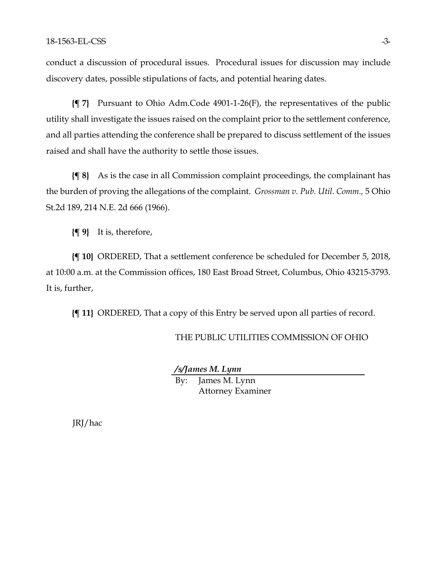conduct a discussion of procedural issues. Procedural issues for discussion may include discovery dates, possible stipulations of facts, and potential hearing dates.

**{¶ 7}** Pursuant to Ohio Adm.Code 4901-1-26(F), the representatives of the public utility shall investigate the issues raised on the complaint prior to the settlement conference, and all parties attending the conference shall be prepared to discuss settlement of the issues raised and shall have the authority to settle those issues.

**{¶ 8}** As is the case in all Commission complaint proceedings, the complainant has the burden of proving the allegations of the complaint. *Grossman v. Pub. Util. Comm.,* 5 Ohio St.2d 189, 214 N.E. 2d 666 (1966).

**{¶ 9}** It is, therefore,

**{¶ 10}** ORDERED, That a settlement conference be scheduled for December 5, 2018, at 10:00 a.m. at the Commission offices, 180 East Broad Street, Columbus, Ohio 43215-3793. It is, further,

**{¶ 11}** ORDERED, That a copy of this Entry be served upon all parties of record.

## THE PUBLIC UTILITIES COMMISSION OF OHIO

*/s/James M. Lynn*

By: James M. Lynn Attorney Examiner

JRJ/hac